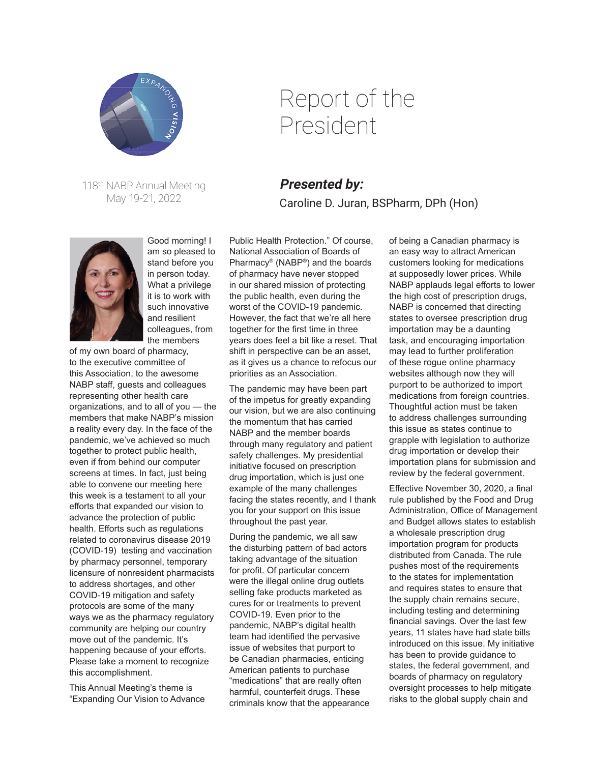

118th NABP Annual Meeting May 19-21, 2022



Good morning! I am so pleased to stand before you in person today. What a privilege it is to work with such innovative and resilient colleagues, from the members

of my own board of pharmacy, to the executive committee of this Association, to the awesome NABP staff, guests and colleagues representing other health care organizations, and to all of you — the members that make NABP's mission a reality every day. In the face of the pandemic, we've achieved so much together to protect public health, even if from behind our computer screens at times. In fact, just being able to convene our meeting here this week is a testament to all your efforts that expanded our vision to advance the protection of public health. Efforts such as regulations related to coronavirus disease 2019 (COVID-19) testing and vaccination by pharmacy personnel, temporary licensure of nonresident pharmacists to address shortages, and other COVID-19 mitigation and safety protocols are some of the many ways we as the pharmacy regulatory community are helping our country move out of the pandemic. It's happening because of your efforts. Please take a moment to recognize this accomplishment.

This Annual Meeting's theme is "Expanding Our Vision to Advance

## Report of the President

## **Presented by:** Caroline D. Juran, BSPharm, DPh (Hon)

Public Health Protection." Of course, National Association of Boards of Pharmacy® (NABP®) and the boards of pharmacy have never stopped in our shared mission of protecting the public health, even during the worst of the COVID-19 pandemic. However, the fact that we're all here together for the first time in three years does feel a bit like a reset. That shift in perspective can be an asset, as it gives us a chance to refocus our priorities as an Association.

The pandemic may have been part of the impetus for greatly expanding our vision, but we are also continuing the momentum that has carried NABP and the member boards through many regulatory and patient safety challenges. My presidential initiative focused on prescription drug importation, which is just one example of the many challenges facing the states recently, and I thank you for your support on this issue throughout the past year.

During the pandemic, we all saw the disturbing pattern of bad actors taking advantage of the situation for profit. Of particular concern were the illegal online drug outlets selling fake products marketed as cures for or treatments to prevent COVID-19. Even prior to the pandemic, NABP's digital health team had identified the pervasive issue of websites that purport to be Canadian pharmacies, enticing American patients to purchase "medications" that are really often harmful, counterfeit drugs. These criminals know that the appearance of being a Canadian pharmacy is an easy way to attract American customers looking for medications at supposedly lower prices. While NABP applauds legal efforts to lower the high cost of prescription drugs, NABP is concerned that directing states to oversee prescription drug importation may be a daunting task, and encouraging importation may lead to further proliferation of these rogue online pharmacy websites although now they will purport to be authorized to import medications from foreign countries. Thoughtful action must be taken to address challenges surrounding this issue as states continue to grapple with legislation to authorize drug importation or develop their importation plans for submission and review by the federal government.

Effective November 30, 2020, a final rule published by the Food and Drug Administration, Office of Management and Budget allows states to establish a wholesale prescription drug importation program for products distributed from Canada. The rule pushes most of the requirements to the states for implementation and requires states to ensure that the supply chain remains secure, including testing and determining financial savings. Over the last few years, 11 states have had state bills introduced on this issue. My initiative has been to provide guidance to states, the federal government, and boards of pharmacy on regulatory oversight processes to help mitigate risks to the global supply chain and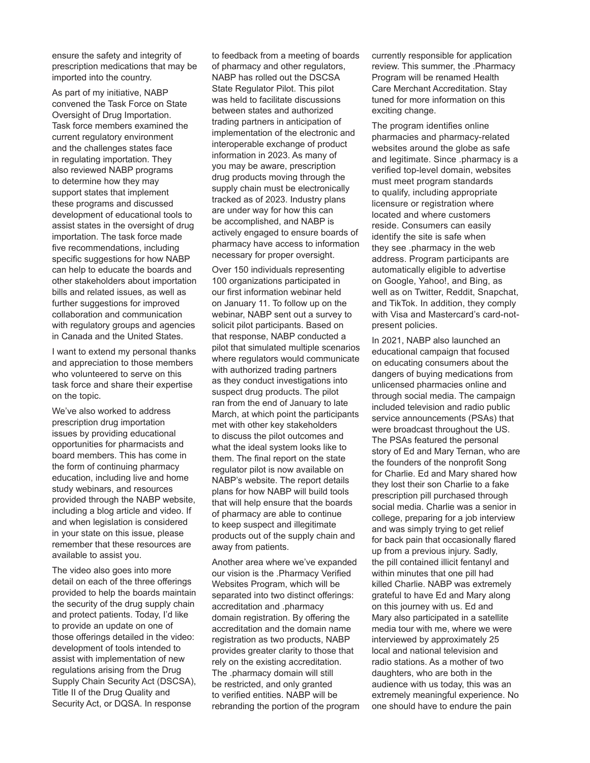ensure the safety and integrity of prescription medications that may be imported into the country.

As part of my initiative, NABP convened the Task Force on State Oversight of Drug Importation. Task force members examined the current regulatory environment and the challenges states face in regulating importation. They also reviewed NABP programs to determine how they may support states that implement these programs and discussed development of educational tools to assist states in the oversight of drug importation. The task force made five recommendations, including specific suggestions for how NABP can help to educate the boards and other stakeholders about importation bills and related issues, as well as further suggestions for improved collaboration and communication with regulatory groups and agencies in Canada and the United States.

I want to extend my personal thanks and appreciation to those members who volunteered to serve on this task force and share their expertise on the topic.

We've also worked to address prescription drug importation issues by providing educational opportunities for pharmacists and board members. This has come in the form of continuing pharmacy education, including live and home study webinars, and resources provided through the NABP website, including a blog article and video. If and when legislation is considered in your state on this issue, please remember that these resources are available to assist you.

The video also goes into more detail on each of the three offerings provided to help the boards maintain the security of the drug supply chain and protect patients. Today, I'd like to provide an update on one of those offerings detailed in the video: development of tools intended to assist with implementation of new regulations arising from the Drug Supply Chain Security Act (DSCSA), Title II of the Drug Quality and Security Act, or DQSA. In response

to feedback from a meeting of boards of pharmacy and other regulators, NABP has rolled out the DSCSA State Regulator Pilot. This pilot was held to facilitate discussions between states and authorized trading partners in anticipation of implementation of the electronic and interoperable exchange of product information in 2023. As many of you may be aware, prescription drug products moving through the supply chain must be electronically tracked as of 2023. Industry plans are under way for how this can be accomplished, and NABP is actively engaged to ensure boards of pharmacy have access to information necessary for proper oversight.

Over 150 individuals representing 100 organizations participated in our first information webinar held on January 11. To follow up on the webinar, NABP sent out a survey to solicit pilot participants. Based on that response, NABP conducted a pilot that simulated multiple scenarios where regulators would communicate with authorized trading partners as they conduct investigations into suspect drug products. The pilot ran from the end of January to late March, at which point the participants met with other key stakeholders to discuss the pilot outcomes and what the ideal system looks like to them. The final report on the state regulator pilot is now available on NABP's website. The report details plans for how NABP will build tools that will help ensure that the boards of pharmacy are able to continue to keep suspect and illegitimate products out of the supply chain and away from patients.

Another area where we've expanded our vision is the .Pharmacy Verified Websites Program, which will be separated into two distinct offerings: accreditation and .pharmacy domain registration. By offering the accreditation and the domain name registration as two products, NABP provides greater clarity to those that rely on the existing accreditation. The .pharmacy domain will still be restricted, and only granted to verified entities. NABP will be rebranding the portion of the program currently responsible for application review. This summer, the .Pharmacy Program will be renamed Health Care Merchant Accreditation. Stay tuned for more information on this exciting change.

The program identifies online pharmacies and pharmacy-related websites around the globe as safe and legitimate. Since .pharmacy is a verified top-level domain, websites must meet program standards to qualify, including appropriate licensure or registration where located and where customers reside. Consumers can easily identify the site is safe when they see .pharmacy in the web address. Program participants are automatically eligible to advertise on Google, Yahoo!, and Bing, as well as on Twitter, Reddit, Snapchat, and TikTok. In addition, they comply with Visa and Mastercard's card-notpresent policies.

In 2021, NABP also launched an educational campaign that focused on educating consumers about the dangers of buying medications from unlicensed pharmacies online and through social media. The campaign included television and radio public service announcements (PSAs) that were broadcast throughout the US. The PSAs featured the personal story of Ed and Mary Ternan, who are the founders of the nonprofit Song for Charlie. Ed and Mary shared how they lost their son Charlie to a fake prescription pill purchased through social media. Charlie was a senior in college, preparing for a job interview and was simply trying to get relief for back pain that occasionally flared up from a previous injury. Sadly, the pill contained illicit fentanyl and within minutes that one pill had killed Charlie. NABP was extremely grateful to have Ed and Mary along on this journey with us. Ed and Mary also participated in a satellite media tour with me, where we were interviewed by approximately 25 local and national television and radio stations. As a mother of two daughters, who are both in the audience with us today, this was an extremely meaningful experience. No one should have to endure the pain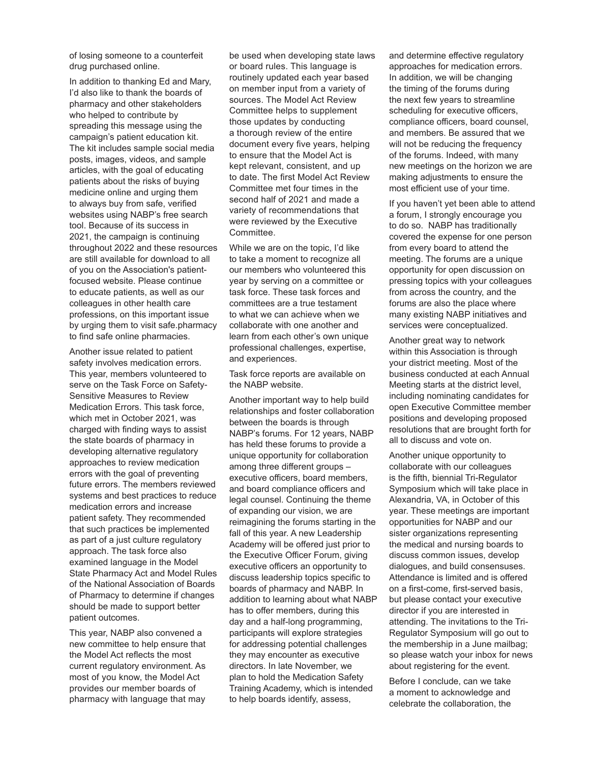of losing someone to a counterfeit drug purchased online.

In addition to thanking Ed and Mary, I'd also like to thank the boards of pharmacy and other stakeholders who helped to contribute by spreading this message using the campaign's patient education kit. The kit includes sample social media posts, images, videos, and sample articles, with the goal of educating patients about the risks of buying medicine online and urging them to always buy from safe, verified websites using NABP's free search tool. Because of its success in 2021, the campaign is continuing throughout 2022 and these resources are still available for download to all of you on the Association's patientfocused website. Please continue to educate patients, as well as our colleagues in other health care professions, on this important issue by urging them to visit safe.pharmacy to find safe online pharmacies.

Another issue related to patient safety involves medication errors. This year, members volunteered to serve on the Task Force on Safety-Sensitive Measures to Review Medication Errors. This task force, which met in October 2021, was charged with finding ways to assist the state boards of pharmacy in developing alternative regulatory approaches to review medication errors with the goal of preventing future errors. The members reviewed systems and best practices to reduce medication errors and increase patient safety. They recommended that such practices be implemented as part of a just culture regulatory approach. The task force also examined language in the Model State Pharmacy Act and Model Rules of the National Association of Boards of Pharmacy to determine if changes should be made to support better patient outcomes.

This year, NABP also convened a new committee to help ensure that the Model Act reflects the most current regulatory environment. As most of you know, the Model Act provides our member boards of pharmacy with language that may

be used when developing state laws or board rules. This language is routinely updated each year based on member input from a variety of sources. The Model Act Review Committee helps to supplement those updates by conducting a thorough review of the entire document every five years, helping to ensure that the Model Act is kept relevant, consistent, and up to date. The first Model Act Review Committee met four times in the second half of 2021 and made a variety of recommendations that were reviewed by the Executive Committee.

While we are on the topic, I'd like to take a moment to recognize all our members who volunteered this year by serving on a committee or task force. These task forces and committees are a true testament to what we can achieve when we collaborate with one another and learn from each other's own unique professional challenges, expertise, and experiences.

Task force reports are available on the NABP website.

Another important way to help build relationships and foster collaboration between the boards is through NABP's forums. For 12 years, NABP has held these forums to provide a unique opportunity for collaboration among three different groups – executive officers, board members, and board compliance officers and legal counsel. Continuing the theme of expanding our vision, we are reimagining the forums starting in the fall of this year. A new Leadership Academy will be offered just prior to the Executive Officer Forum, giving executive officers an opportunity to discuss leadership topics specific to boards of pharmacy and NABP. In addition to learning about what NABP has to offer members, during this day and a half-long programming, participants will explore strategies for addressing potential challenges they may encounter as executive directors. In late November, we plan to hold the Medication Safety Training Academy, which is intended to help boards identify, assess,

and determine effective regulatory approaches for medication errors. In addition, we will be changing the timing of the forums during the next few years to streamline scheduling for executive officers, compliance officers, board counsel, and members. Be assured that we will not be reducing the frequency of the forums. Indeed, with many new meetings on the horizon we are making adjustments to ensure the most efficient use of your time.

If you haven't yet been able to attend a forum, I strongly encourage you to do so. NABP has traditionally covered the expense for one person from every board to attend the meeting. The forums are a unique opportunity for open discussion on pressing topics with your colleagues from across the country, and the forums are also the place where many existing NABP initiatives and services were conceptualized.

Another great way to network within this Association is through your district meeting. Most of the business conducted at each Annual Meeting starts at the district level, including nominating candidates for open Executive Committee member positions and developing proposed resolutions that are brought forth for all to discuss and vote on.

Another unique opportunity to collaborate with our colleagues is the fifth, biennial Tri-Regulator Symposium which will take place in Alexandria, VA, in October of this year. These meetings are important opportunities for NABP and our sister organizations representing the medical and nursing boards to discuss common issues, develop dialogues, and build consensuses. Attendance is limited and is offered on a first-come, first-served basis, but please contact your executive director if you are interested in attending. The invitations to the Tri-Regulator Symposium will go out to the membership in a June mailbag; so please watch your inbox for news about registering for the event.

Before I conclude, can we take a moment to acknowledge and celebrate the collaboration, the